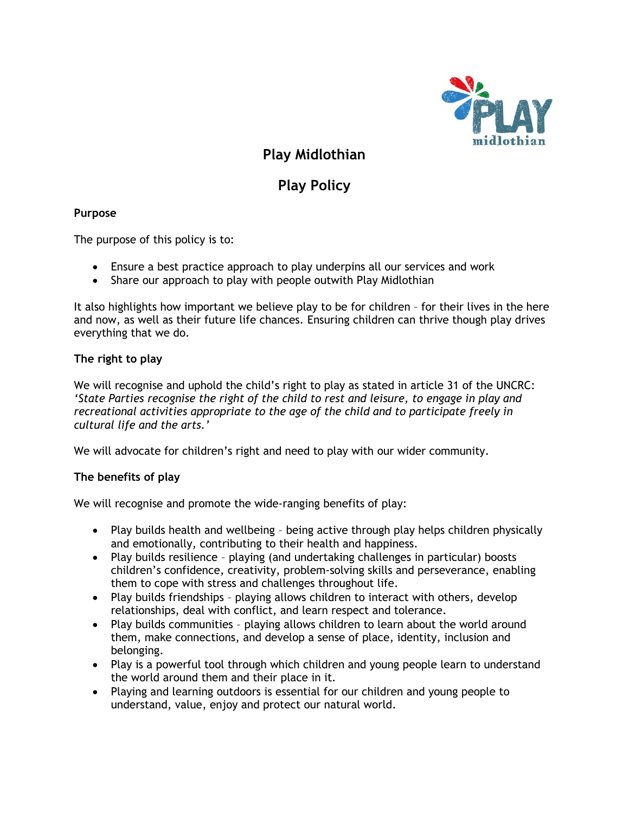

# **Play Midlothian**

# **Play Policy**

## **Purpose**

The purpose of this policy is to:

- Ensure a best practice approach to play underpins all our services and work
- Share our approach to play with people outwith Play Midlothian

It also highlights how important we believe play to be for children – for their lives in the here and now, as well as their future life chances. Ensuring children can thrive though play drives everything that we do.

## **The right to play**

We will recognise and uphold the child's right to play as stated in article 31 of the UNCRC: *'State Parties recognise the right of the child to rest and leisure, to engage in play and recreational activities appropriate to the age of the child and to participate freely in cultural life and the arts.'*

We will advocate for children's right and need to play with our wider community.

## **The benefits of play**

We will recognise and promote the wide-ranging benefits of play:

- Play builds health and wellbeing being active through play helps children physically and emotionally, contributing to their health and happiness.
- Play builds resilience playing (and undertaking challenges in particular) boosts children's confidence, creativity, problem-solving skills and perseverance, enabling them to cope with stress and challenges throughout life.
- Play builds friendships playing allows children to interact with others, develop relationships, deal with conflict, and learn respect and tolerance.
- Play builds communities playing allows children to learn about the world around them, make connections, and develop a sense of place, identity, inclusion and belonging.
- Play is a powerful tool through which children and young people learn to understand the world around them and their place in it.
- Playing and learning outdoors is essential for our children and young people to understand, value, enjoy and protect our natural world.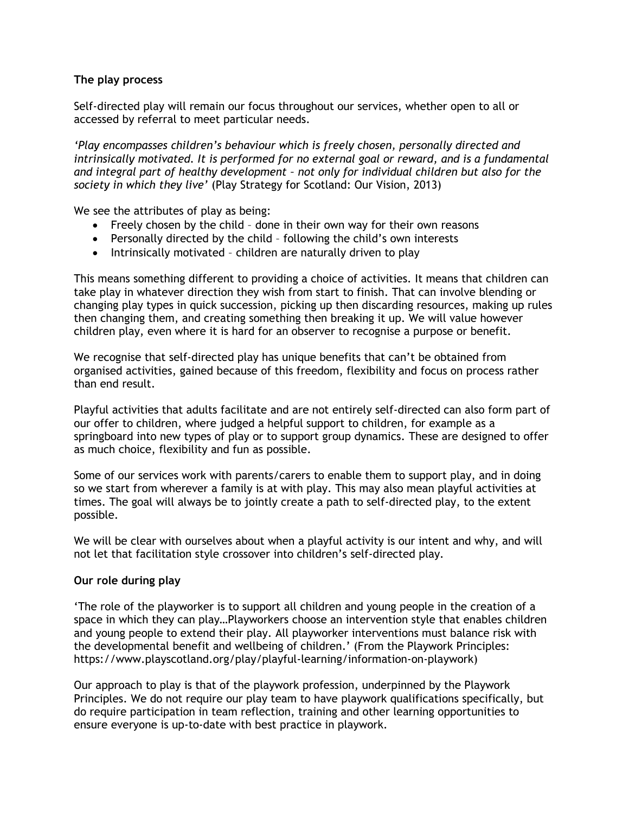## **The play process**

Self-directed play will remain our focus throughout our services, whether open to all or accessed by referral to meet particular needs.

*'Play encompasses children's behaviour which is freely chosen, personally directed and intrinsically motivated. It is performed for no external goal or reward, and is a fundamental and integral part of healthy development – not only for individual children but also for the society in which they live'* (Play Strategy for Scotland: Our Vision, 2013)

We see the attributes of play as being:

- Freely chosen by the child done in their own way for their own reasons
- Personally directed by the child following the child's own interests
- Intrinsically motivated children are naturally driven to play

This means something different to providing a choice of activities. It means that children can take play in whatever direction they wish from start to finish. That can involve blending or changing play types in quick succession, picking up then discarding resources, making up rules then changing them, and creating something then breaking it up. We will value however children play, even where it is hard for an observer to recognise a purpose or benefit.

We recognise that self-directed play has unique benefits that can't be obtained from organised activities, gained because of this freedom, flexibility and focus on process rather than end result.

Playful activities that adults facilitate and are not entirely self-directed can also form part of our offer to children, where judged a helpful support to children, for example as a springboard into new types of play or to support group dynamics. These are designed to offer as much choice, flexibility and fun as possible.

Some of our services work with parents/carers to enable them to support play, and in doing so we start from wherever a family is at with play. This may also mean playful activities at times. The goal will always be to jointly create a path to self-directed play, to the extent possible.

We will be clear with ourselves about when a playful activity is our intent and why, and will not let that facilitation style crossover into children's self-directed play.

## **Our role during play**

'The role of the playworker is to support all children and young people in the creation of a space in which they can play…Playworkers choose an intervention style that enables children and young people to extend their play. All playworker interventions must balance risk with the developmental benefit and wellbeing of children.' (From the Playwork Principles: https://www.playscotland.org/play/playful-learning/information-on-playwork)

Our approach to play is that of the playwork profession, underpinned by the Playwork Principles. We do not require our play team to have playwork qualifications specifically, but do require participation in team reflection, training and other learning opportunities to ensure everyone is up-to-date with best practice in playwork.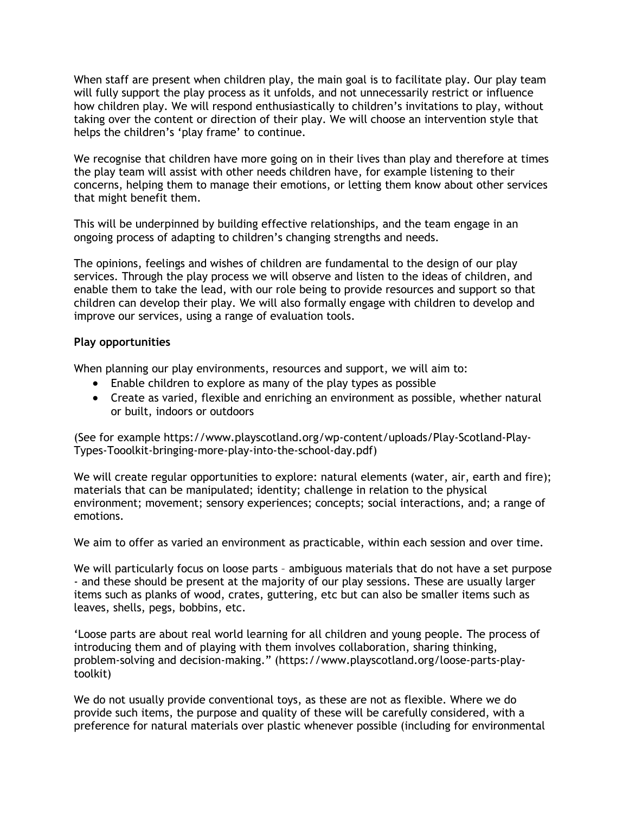When staff are present when children play, the main goal is to facilitate play. Our play team will fully support the play process as it unfolds, and not unnecessarily restrict or influence how children play. We will respond enthusiastically to children's invitations to play, without taking over the content or direction of their play. We will choose an intervention style that helps the children's 'play frame' to continue.

We recognise that children have more going on in their lives than play and therefore at times the play team will assist with other needs children have, for example listening to their concerns, helping them to manage their emotions, or letting them know about other services that might benefit them.

This will be underpinned by building effective relationships, and the team engage in an ongoing process of adapting to children's changing strengths and needs.

The opinions, feelings and wishes of children are fundamental to the design of our play services. Through the play process we will observe and listen to the ideas of children, and enable them to take the lead, with our role being to provide resources and support so that children can develop their play. We will also formally engage with children to develop and improve our services, using a range of evaluation tools.

## **Play opportunities**

When planning our play environments, resources and support, we will aim to:

- Enable children to explore as many of the play types as possible
- Create as varied, flexible and enriching an environment as possible, whether natural or built, indoors or outdoors

(See for example https://www.playscotland.org/wp-content/uploads/Play-Scotland-Play-Types-Tooolkit-bringing-more-play-into-the-school-day.pdf)

We will create regular opportunities to explore: natural elements (water, air, earth and fire); materials that can be manipulated; identity; challenge in relation to the physical environment; movement; sensory experiences; concepts; social interactions, and; a range of emotions.

We aim to offer as varied an environment as practicable, within each session and over time.

We will particularly focus on loose parts – ambiguous materials that do not have a set purpose - and these should be present at the majority of our play sessions. These are usually larger items such as planks of wood, crates, guttering, etc but can also be smaller items such as leaves, shells, pegs, bobbins, etc.

'Loose parts are about real world learning for all children and young people. The process of introducing them and of playing with them involves collaboration, sharing thinking, problem-solving and decision-making." (https://www.playscotland.org/loose-parts-playtoolkit)

We do not usually provide conventional toys, as these are not as flexible. Where we do provide such items, the purpose and quality of these will be carefully considered, with a preference for natural materials over plastic whenever possible (including for environmental